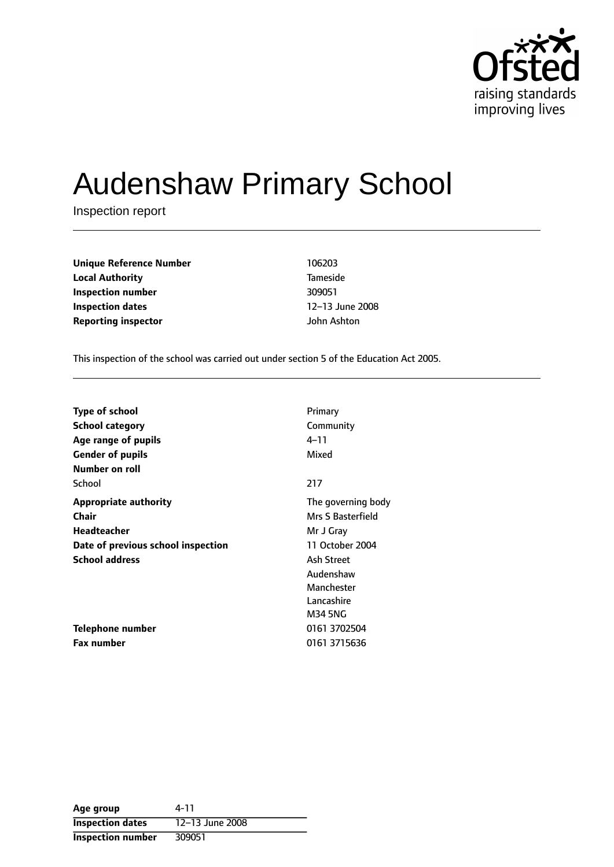

# Audenshaw Primary School

Inspection report

**Unique Reference Number** 106203 **Local Authority** Tameside **Inspection number** 309051 **Inspection dates** 12-13 June 2008 **Reporting inspector** John Ashton

This inspection of the school was carried out under section 5 of the Education Act 2005.

| <b>Type of school</b>              | Primary            |
|------------------------------------|--------------------|
| <b>School category</b>             | Community          |
| Age range of pupils                | 4–11               |
| <b>Gender of pupils</b>            | Mixed              |
| Number on roll                     |                    |
| School                             | 217                |
| <b>Appropriate authority</b>       | The governing body |
| Chair                              | Mrs S Basterfield  |
| <b>Headteacher</b>                 | Mr J Gray          |
| Date of previous school inspection | 11 October 2004    |
| <b>School address</b>              | Ash Street         |
|                                    | Audenshaw          |
|                                    | Manchester         |
|                                    | Lancashire         |
|                                    | M34 5NG            |
| Telephone number                   | 0161 3702504       |
| <b>Fax number</b>                  | 0161 3715636       |

| Age group                | 4-11            |
|--------------------------|-----------------|
| <b>Inspection dates</b>  | 12-13 June 2008 |
| <b>Inspection number</b> | 309051          |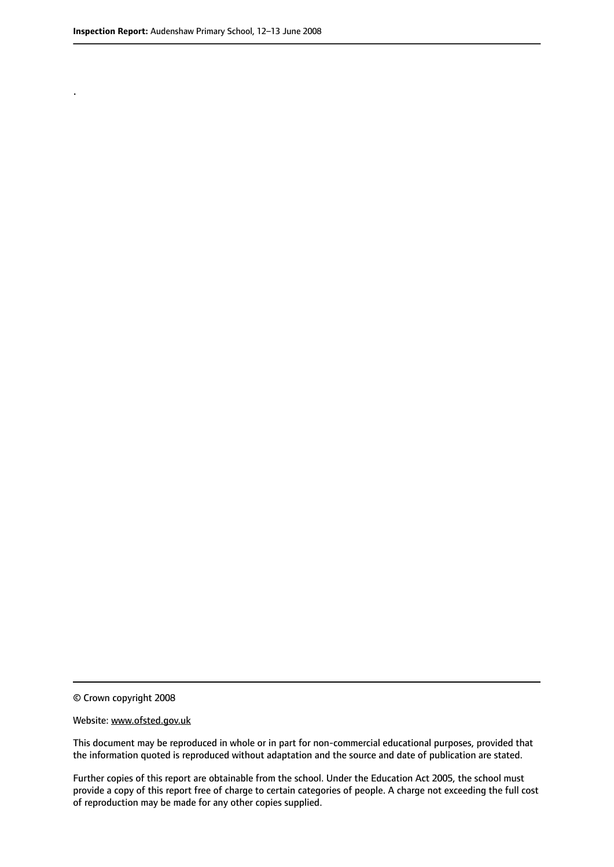.

© Crown copyright 2008

#### Website: www.ofsted.gov.uk

This document may be reproduced in whole or in part for non-commercial educational purposes, provided that the information quoted is reproduced without adaptation and the source and date of publication are stated.

Further copies of this report are obtainable from the school. Under the Education Act 2005, the school must provide a copy of this report free of charge to certain categories of people. A charge not exceeding the full cost of reproduction may be made for any other copies supplied.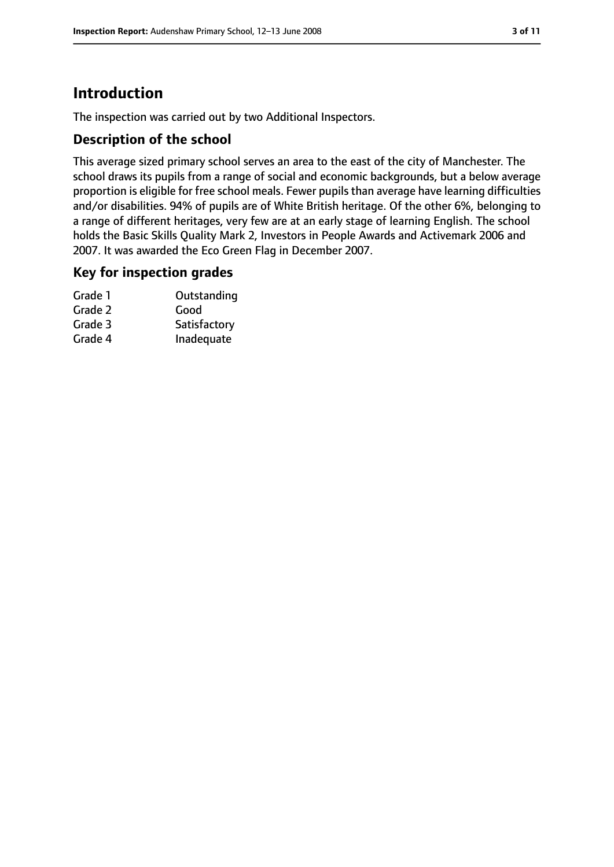# **Introduction**

The inspection was carried out by two Additional Inspectors.

## **Description of the school**

This average sized primary school serves an area to the east of the city of Manchester. The school draws its pupils from a range of social and economic backgrounds, but a below average proportion is eligible for free school meals. Fewer pupils than average have learning difficulties and/or disabilities. 94% of pupils are of White British heritage. Of the other 6%, belonging to a range of different heritages, very few are at an early stage of learning English. The school holds the Basic Skills Quality Mark 2, Investors in People Awards and Activemark 2006 and 2007. It was awarded the Eco Green Flag in December 2007.

## **Key for inspection grades**

| Outstanding  |
|--------------|
| Good         |
| Satisfactory |
| Inadequate   |
|              |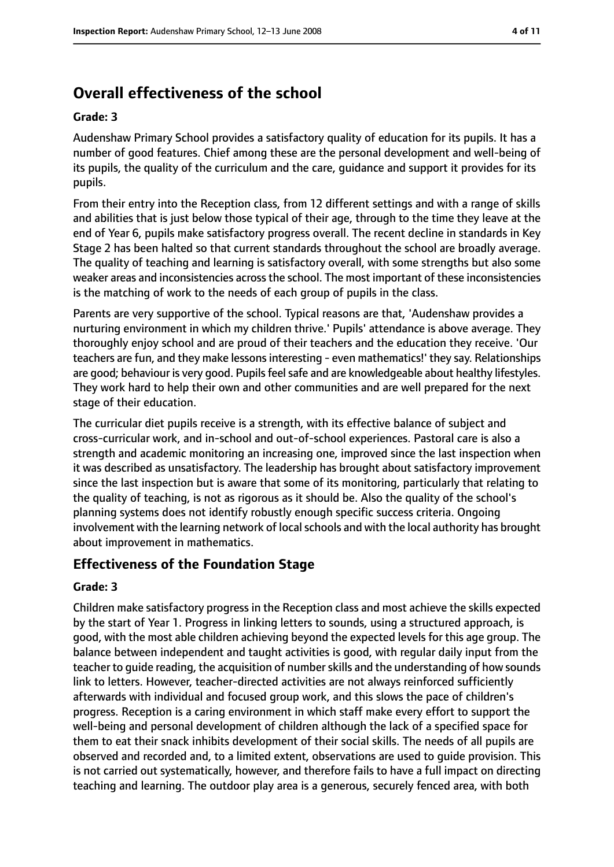# **Overall effectiveness of the school**

#### **Grade: 3**

Audenshaw Primary School provides a satisfactory quality of education for its pupils. It has a number of good features. Chief among these are the personal development and well-being of its pupils, the quality of the curriculum and the care, guidance and support it provides for its pupils.

From their entry into the Reception class, from 12 different settings and with a range of skills and abilities that is just below those typical of their age, through to the time they leave at the end of Year 6, pupils make satisfactory progress overall. The recent decline in standards in Key Stage 2 has been halted so that current standards throughout the school are broadly average. The quality of teaching and learning is satisfactory overall, with some strengths but also some weaker areas and inconsistencies acrossthe school. The most important of these inconsistencies is the matching of work to the needs of each group of pupils in the class.

Parents are very supportive of the school. Typical reasons are that, 'Audenshaw provides a nurturing environment in which my children thrive.' Pupils' attendance is above average. They thoroughly enjoy school and are proud of their teachers and the education they receive. 'Our teachers are fun, and they make lessons interesting - even mathematics!' they say. Relationships are good; behaviour is very good. Pupils feel safe and are knowledgeable about healthy lifestyles. They work hard to help their own and other communities and are well prepared for the next stage of their education.

The curricular diet pupils receive is a strength, with its effective balance of subject and cross-curricular work, and in-school and out-of-school experiences. Pastoral care is also a strength and academic monitoring an increasing one, improved since the last inspection when it was described as unsatisfactory. The leadership has brought about satisfactory improvement since the last inspection but is aware that some of its monitoring, particularly that relating to the quality of teaching, is not as rigorous as it should be. Also the quality of the school's planning systems does not identify robustly enough specific success criteria. Ongoing involvement with the learning network of local schools and with the local authority has brought about improvement in mathematics.

## **Effectiveness of the Foundation Stage**

#### **Grade: 3**

Children make satisfactory progress in the Reception class and most achieve the skills expected by the start of Year 1. Progress in linking letters to sounds, using a structured approach, is good, with the most able children achieving beyond the expected levels for this age group. The balance between independent and taught activities is good, with regular daily input from the teacher to quide reading, the acquisition of number skills and the understanding of how sounds link to letters. However, teacher-directed activities are not always reinforced sufficiently afterwards with individual and focused group work, and this slows the pace of children's progress. Reception is a caring environment in which staff make every effort to support the well-being and personal development of children although the lack of a specified space for them to eat their snack inhibits development of their social skills. The needs of all pupils are observed and recorded and, to a limited extent, observations are used to guide provision. This is not carried out systematically, however, and therefore fails to have a full impact on directing teaching and learning. The outdoor play area is a generous, securely fenced area, with both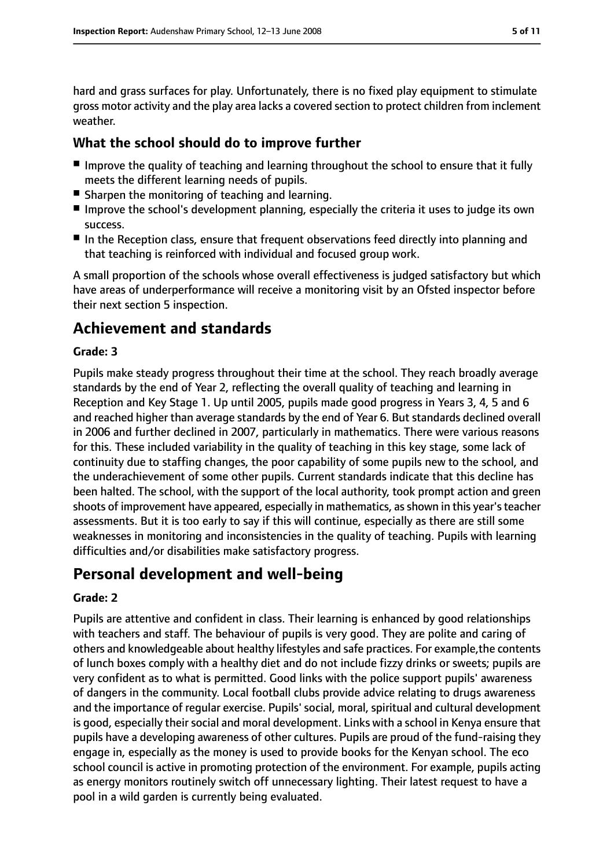hard and grass surfaces for play. Unfortunately, there is no fixed play equipment to stimulate gross motor activity and the play area lacks a covered section to protect children from inclement weather.

## **What the school should do to improve further**

- Improve the quality of teaching and learning throughout the school to ensure that it fully meets the different learning needs of pupils.
- Sharpen the monitoring of teaching and learning.
- Improve the school's development planning, especially the criteria it uses to judge its own success.
- In the Reception class, ensure that frequent observations feed directly into planning and that teaching is reinforced with individual and focused group work.

A small proportion of the schools whose overall effectiveness is judged satisfactory but which have areas of underperformance will receive a monitoring visit by an Ofsted inspector before their next section 5 inspection.

# **Achievement and standards**

#### **Grade: 3**

Pupils make steady progress throughout their time at the school. They reach broadly average standards by the end of Year 2, reflecting the overall quality of teaching and learning in Reception and Key Stage 1. Up until 2005, pupils made good progress in Years 3, 4, 5 and 6 and reached higher than average standards by the end of Year 6. But standards declined overall in 2006 and further declined in 2007, particularly in mathematics. There were various reasons for this. These included variability in the quality of teaching in this key stage, some lack of continuity due to staffing changes, the poor capability of some pupils new to the school, and the underachievement of some other pupils. Current standards indicate that this decline has been halted. The school, with the support of the local authority, took prompt action and green shoots of improvement have appeared, especially in mathematics, as shown in this year's teacher assessments. But it is too early to say if this will continue, especially as there are still some weaknesses in monitoring and inconsistencies in the quality of teaching. Pupils with learning difficulties and/or disabilities make satisfactory progress.

# **Personal development and well-being**

#### **Grade: 2**

Pupils are attentive and confident in class. Their learning is enhanced by good relationships with teachers and staff. The behaviour of pupils is very good. They are polite and caring of others and knowledgeable about healthy lifestyles and safe practices. For example,the contents of lunch boxes comply with a healthy diet and do not include fizzy drinks or sweets; pupils are very confident as to what is permitted. Good links with the police support pupils' awareness of dangers in the community. Local football clubs provide advice relating to drugs awareness and the importance of regular exercise. Pupils' social, moral, spiritual and cultural development is good, especially their social and moral development. Links with a school in Kenya ensure that pupils have a developing awareness of other cultures. Pupils are proud of the fund-raising they engage in, especially as the money is used to provide books for the Kenyan school. The eco school council is active in promoting protection of the environment. For example, pupils acting as energy monitors routinely switch off unnecessary lighting. Their latest request to have a pool in a wild garden is currently being evaluated.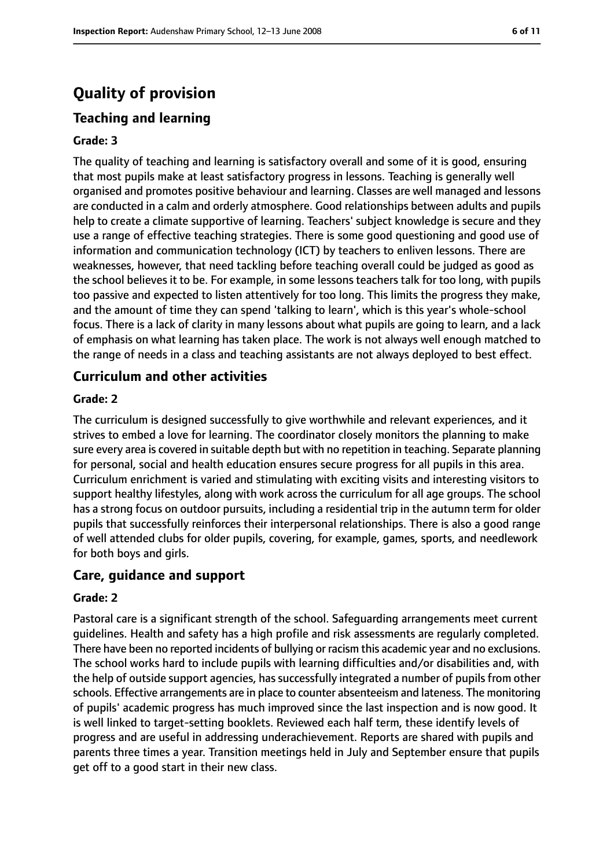# **Quality of provision**

### **Teaching and learning**

#### **Grade: 3**

The quality of teaching and learning is satisfactory overall and some of it is good, ensuring that most pupils make at least satisfactory progress in lessons. Teaching is generally well organised and promotes positive behaviour and learning. Classes are well managed and lessons are conducted in a calm and orderly atmosphere. Good relationships between adults and pupils help to create a climate supportive of learning. Teachers' subject knowledge is secure and they use a range of effective teaching strategies. There is some good questioning and good use of information and communication technology (ICT) by teachers to enliven lessons. There are weaknesses, however, that need tackling before teaching overall could be judged as good as the school believes it to be. For example, in some lessons teachers talk for too long, with pupils too passive and expected to listen attentively for too long. This limits the progress they make, and the amount of time they can spend 'talking to learn', which is this year's whole-school focus. There is a lack of clarity in many lessons about what pupils are going to learn, and a lack of emphasis on what learning has taken place. The work is not always well enough matched to the range of needs in a class and teaching assistants are not always deployed to best effect.

#### **Curriculum and other activities**

#### **Grade: 2**

The curriculum is designed successfully to give worthwhile and relevant experiences, and it strives to embed a love for learning. The coordinator closely monitors the planning to make sure every area is covered in suitable depth but with no repetition in teaching. Separate planning for personal, social and health education ensures secure progress for all pupils in this area. Curriculum enrichment is varied and stimulating with exciting visits and interesting visitors to support healthy lifestyles, along with work across the curriculum for all age groups. The school has a strong focus on outdoor pursuits, including a residential trip in the autumn term for older pupils that successfully reinforces their interpersonal relationships. There is also a good range of well attended clubs for older pupils, covering, for example, games, sports, and needlework for both boys and girls.

#### **Care, guidance and support**

#### **Grade: 2**

Pastoral care is a significant strength of the school. Safeguarding arrangements meet current guidelines. Health and safety has a high profile and risk assessments are regularly completed. There have been no reported incidents of bullying or racism this academic year and no exclusions. The school works hard to include pupils with learning difficulties and/or disabilities and, with the help of outside support agencies, has successfully integrated a number of pupils from other schools. Effective arrangements are in place to counter absenteeism and lateness. The monitoring of pupils' academic progress has much improved since the last inspection and is now good. It is well linked to target-setting booklets. Reviewed each half term, these identify levels of progress and are useful in addressing underachievement. Reports are shared with pupils and parents three times a year. Transition meetings held in July and September ensure that pupils get off to a good start in their new class.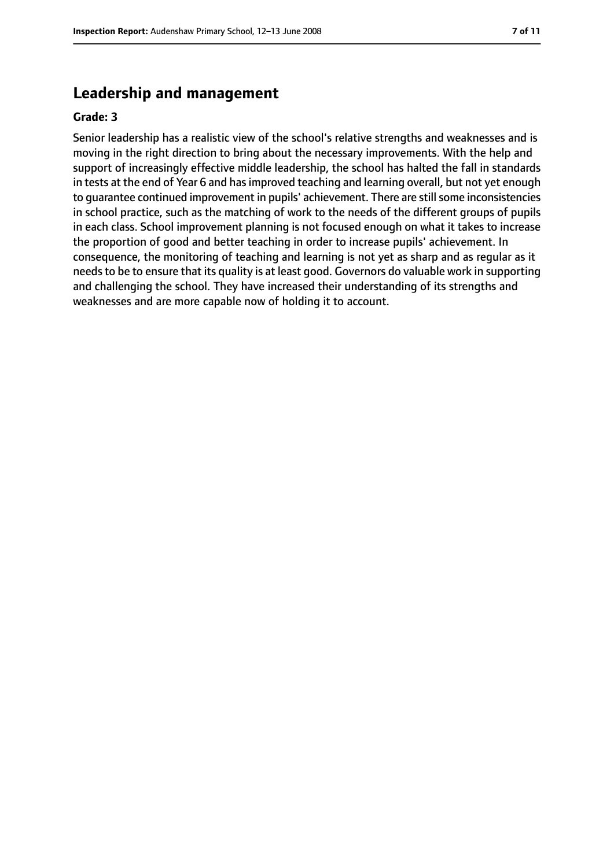# **Leadership and management**

#### **Grade: 3**

Senior leadership has a realistic view of the school's relative strengths and weaknesses and is moving in the right direction to bring about the necessary improvements. With the help and support of increasingly effective middle leadership, the school has halted the fall in standards in tests at the end of Year 6 and has improved teaching and learning overall, but not yet enough to quarantee continued improvement in pupils' achievement. There are still some inconsistencies in school practice, such as the matching of work to the needs of the different groups of pupils in each class. School improvement planning is not focused enough on what it takes to increase the proportion of good and better teaching in order to increase pupils' achievement. In consequence, the monitoring of teaching and learning is not yet as sharp and as regular as it needs to be to ensure that its quality is at least good. Governors do valuable work in supporting and challenging the school. They have increased their understanding of its strengths and weaknesses and are more capable now of holding it to account.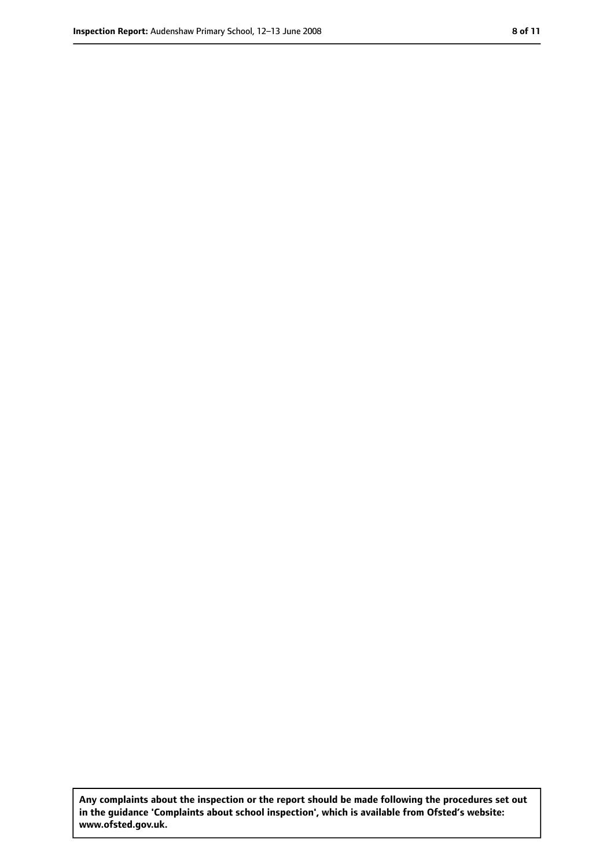**Any complaints about the inspection or the report should be made following the procedures set out in the guidance 'Complaints about school inspection', which is available from Ofsted's website: www.ofsted.gov.uk.**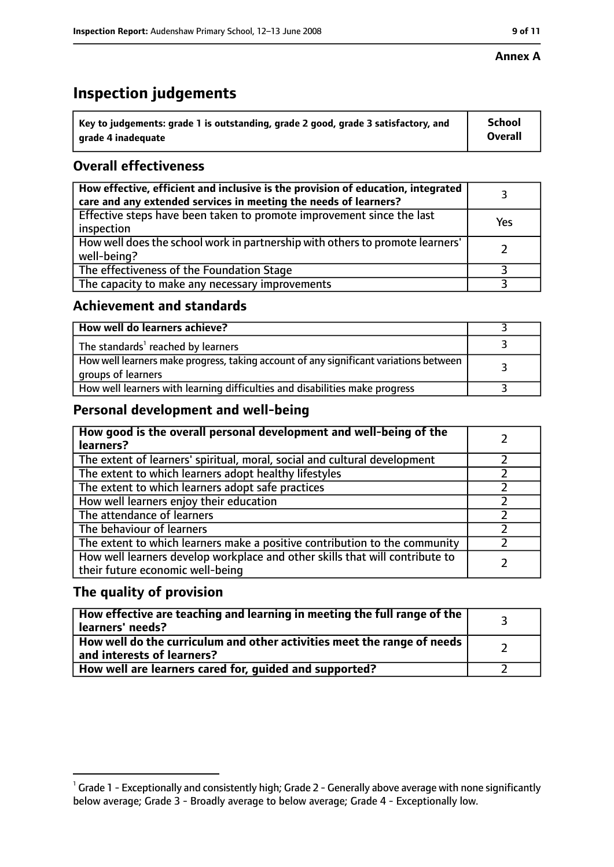#### **Annex A**

# **Inspection judgements**

| $^{\backprime}$ Key to judgements: grade 1 is outstanding, grade 2 good, grade 3 satisfactory, and | <b>School</b>  |
|----------------------------------------------------------------------------------------------------|----------------|
| arade 4 inadequate                                                                                 | <b>Overall</b> |

# **Overall effectiveness**

| How effective, efficient and inclusive is the provision of education, integrated<br>care and any extended services in meeting the needs of learners? |     |
|------------------------------------------------------------------------------------------------------------------------------------------------------|-----|
| Effective steps have been taken to promote improvement since the last<br>inspection                                                                  | Yes |
| How well does the school work in partnership with others to promote learners'<br>well-being?                                                         |     |
| The effectiveness of the Foundation Stage                                                                                                            |     |
| The capacity to make any necessary improvements                                                                                                      |     |

## **Achievement and standards**

| How well do learners achieve?                                                                               |  |
|-------------------------------------------------------------------------------------------------------------|--|
| The standards <sup>1</sup> reached by learners                                                              |  |
| How well learners make progress, taking account of any significant variations between<br>groups of learners |  |
| How well learners with learning difficulties and disabilities make progress                                 |  |

# **Personal development and well-being**

| How good is the overall personal development and well-being of the<br>learners?                                  |  |
|------------------------------------------------------------------------------------------------------------------|--|
| The extent of learners' spiritual, moral, social and cultural development                                        |  |
| The extent to which learners adopt healthy lifestyles                                                            |  |
| The extent to which learners adopt safe practices                                                                |  |
| How well learners enjoy their education                                                                          |  |
| The attendance of learners                                                                                       |  |
| The behaviour of learners                                                                                        |  |
| The extent to which learners make a positive contribution to the community                                       |  |
| How well learners develop workplace and other skills that will contribute to<br>their future economic well-being |  |

# **The quality of provision**

| How effective are teaching and learning in meeting the full range of the<br>learners' needs?          |  |
|-------------------------------------------------------------------------------------------------------|--|
| How well do the curriculum and other activities meet the range of needs<br>and interests of learners? |  |
| How well are learners cared for, guided and supported?                                                |  |

 $^1$  Grade 1 - Exceptionally and consistently high; Grade 2 - Generally above average with none significantly below average; Grade 3 - Broadly average to below average; Grade 4 - Exceptionally low.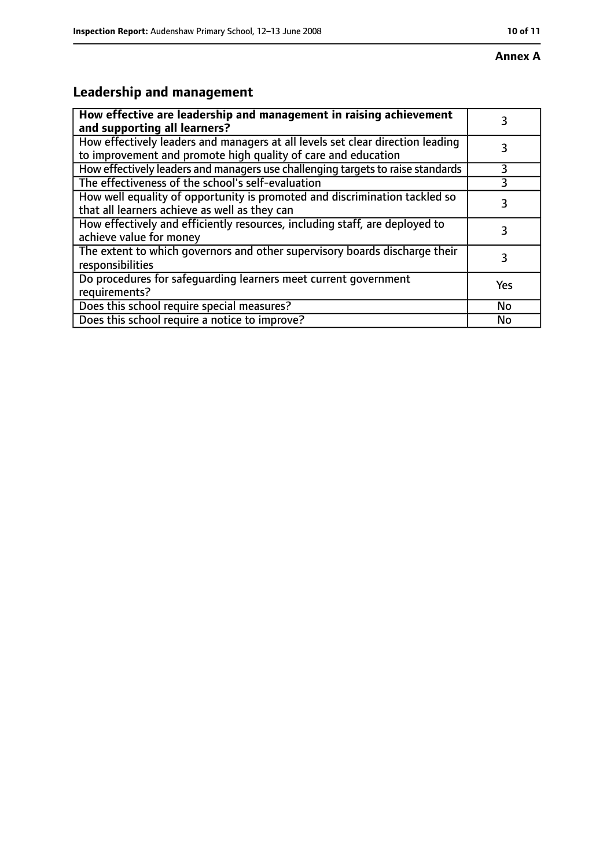# **Leadership and management**

| How effective are leadership and management in raising achievement<br>and supporting all learners?                                              | 3   |
|-------------------------------------------------------------------------------------------------------------------------------------------------|-----|
| How effectively leaders and managers at all levels set clear direction leading<br>to improvement and promote high quality of care and education |     |
| How effectively leaders and managers use challenging targets to raise standards                                                                 | 3   |
| The effectiveness of the school's self-evaluation                                                                                               |     |
| How well equality of opportunity is promoted and discrimination tackled so<br>that all learners achieve as well as they can                     | 3   |
| How effectively and efficiently resources, including staff, are deployed to<br>achieve value for money                                          | 3   |
| The extent to which governors and other supervisory boards discharge their<br>responsibilities                                                  | 3   |
| Do procedures for safequarding learners meet current government<br>requirements?                                                                | Yes |
| Does this school require special measures?                                                                                                      | No  |
| Does this school require a notice to improve?                                                                                                   | No  |